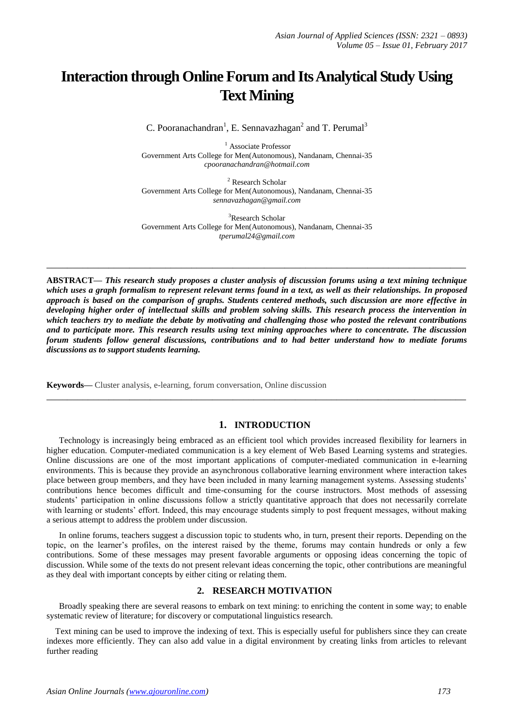# **Interaction through Online Forum and Its Analytical Study Using Text Mining**

C. Pooranachandran<sup>1</sup>, E. Sennavazhagan<sup>2</sup> and T. Perumal<sup>3</sup>

<sup>1</sup> Associate Professor Government Arts College for Men(Autonomous), Nandanam, Chennai-35 *cpooranachandran@hotmail.com*

<sup>2</sup> Research Scholar Government Arts College for Men(Autonomous), Nandanam, Chennai-35 *sennavazhagan@gmail.com*

<sup>3</sup>Research Scholar Government Arts College for Men(Autonomous), Nandanam, Chennai-35 *tperumal24@gmail.com*

**\_\_\_\_\_\_\_\_\_\_\_\_\_\_\_\_\_\_\_\_\_\_\_\_\_\_\_\_\_\_\_\_\_\_\_\_\_\_\_\_\_\_\_\_\_\_\_\_\_\_\_\_\_\_\_\_\_\_\_\_\_\_\_\_\_\_\_\_\_\_\_\_\_\_\_\_\_\_\_\_\_**

**ABSTRACT—** *This research study proposes a cluster analysis of discussion forums using a text mining technique which uses a graph formalism to represent relevant terms found in a text, as well as their relationships. In proposed approach is based on the comparison of graphs. Students centered methods, such discussion are more effective in developing higher order of intellectual skills and problem solving skills. This research process the intervention in which teachers try to mediate the debate by motivating and challenging those who posted the relevant contributions and to participate more. This research results using text mining approaches where to concentrate. The discussion forum students follow general discussions, contributions and to had better understand how to mediate forums discussions as to support students learning.*

**Keywords—** Cluster analysis, e-learning, forum conversation, Online discussion

## **1. INTRODUCTION**

**\_\_\_\_\_\_\_\_\_\_\_\_\_\_\_\_\_\_\_\_\_\_\_\_\_\_\_\_\_\_\_\_\_\_\_\_\_\_\_\_\_\_\_\_\_\_\_\_\_\_\_\_\_\_\_\_\_\_\_\_\_\_\_\_\_\_\_\_\_\_\_\_\_\_\_\_\_\_\_\_\_**

Technology is increasingly being embraced as an efficient tool which provides increased flexibility for learners in higher education. Computer-mediated communication is a key element of Web Based Learning systems and strategies. Online discussions are one of the most important applications of computer-mediated communication in e-learning environments. This is because they provide an asynchronous collaborative learning environment where interaction takes place between group members, and they have been included in many learning management systems. Assessing students' contributions hence becomes difficult and time-consuming for the course instructors. Most methods of assessing students' participation in online discussions follow a strictly quantitative approach that does not necessarily correlate with learning or students' effort. Indeed, this may encourage students simply to post frequent messages, without making a serious attempt to address the problem under discussion.

In online forums, teachers suggest a discussion topic to students who, in turn, present their reports. Depending on the topic, on the learner's profiles, on the interest raised by the theme, forums may contain hundreds or only a few contributions. Some of these messages may present favorable arguments or opposing ideas concerning the topic of discussion. While some of the texts do not present relevant ideas concerning the topic, other contributions are meaningful as they deal with important concepts by either citing or relating them.

## **2. RESEARCH MOTIVATION**

Broadly speaking there are several reasons to embark on text mining: to enriching the content in some way; to enable systematic review of literature; for discovery or computational linguistics research.

Text mining can be used to improve the indexing of text. This is especially useful for publishers since they can create indexes more efficiently. They can also add value in a digital environment by creating links from articles to relevant further reading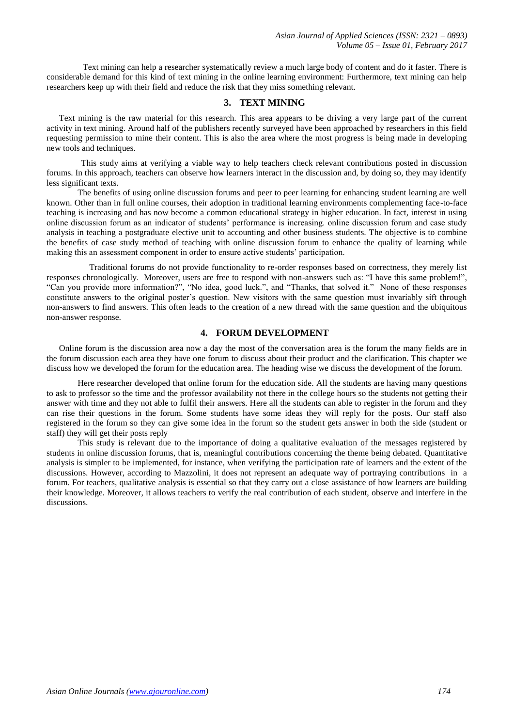Text mining can help a researcher systematically review a much large body of content and do it faster. There is considerable demand for this kind of text mining in the online learning environment: Furthermore, text mining can help researchers keep up with their field and reduce the risk that they miss something relevant.

## **3. TEXT MINING**

Text mining is the raw material for this research. This area appears to be driving a very large part of the current activity in text mining. Around half of the publishers recently surveyed have been approached by researchers in this field requesting permission to mine their content. This is also the area where the most progress is being made in developing new tools and techniques.

 This study aims at verifying a viable way to help teachers check relevant contributions posted in discussion forums. In this approach, teachers can observe how learners interact in the discussion and, by doing so, they may identify less significant texts.

The benefits of using online discussion forums and peer to peer learning for enhancing student learning are well known. Other than in full online courses, their adoption in traditional learning environments complementing face-to-face teaching is increasing and has now become a common educational strategy in higher education. In fact, interest in using online discussion forum as an indicator of students' performance is increasing. online discussion forum and case study analysis in teaching a postgraduate elective unit to accounting and other business students. The objective is to combine the benefits of case study method of teaching with online discussion forum to enhance the quality of learning while making this an assessment component in order to ensure active students' participation.

 Traditional forums do not provide functionality to re-order responses based on correctness, they merely list responses chronologically. Moreover, users are free to respond with non-answers such as: "I have this same problem!", "Can you provide more information?", "No idea, good luck.", and "Thanks, that solved it." None of these responses constitute answers to the original poster's question. New visitors with the same question must invariably sift through non-answers to find answers. This often leads to the creation of a new thread with the same question and the ubiquitous non-answer response.

## **4. FORUM DEVELOPMENT**

Online forum is the discussion area now a day the most of the conversation area is the forum the many fields are in the forum discussion each area they have one forum to discuss about their product and the clarification. This chapter we discuss how we developed the forum for the education area. The heading wise we discuss the development of the forum.

Here researcher developed that online forum for the education side. All the students are having many questions to ask to professor so the time and the professor availability not there in the college hours so the students not getting their answer with time and they not able to fulfil their answers. Here all the students can able to register in the forum and they can rise their questions in the forum. Some students have some ideas they will reply for the posts. Our staff also registered in the forum so they can give some idea in the forum so the student gets answer in both the side (student or staff) they will get their posts reply

This study is relevant due to the importance of doing a qualitative evaluation of the messages registered by students in online discussion forums, that is, meaningful contributions concerning the theme being debated. Quantitative analysis is simpler to be implemented, for instance, when verifying the participation rate of learners and the extent of the discussions. However, according to Mazzolini, it does not represent an adequate way of portraying contributions in a forum. For teachers, qualitative analysis is essential so that they carry out a close assistance of how learners are building their knowledge. Moreover, it allows teachers to verify the real contribution of each student, observe and interfere in the discussions.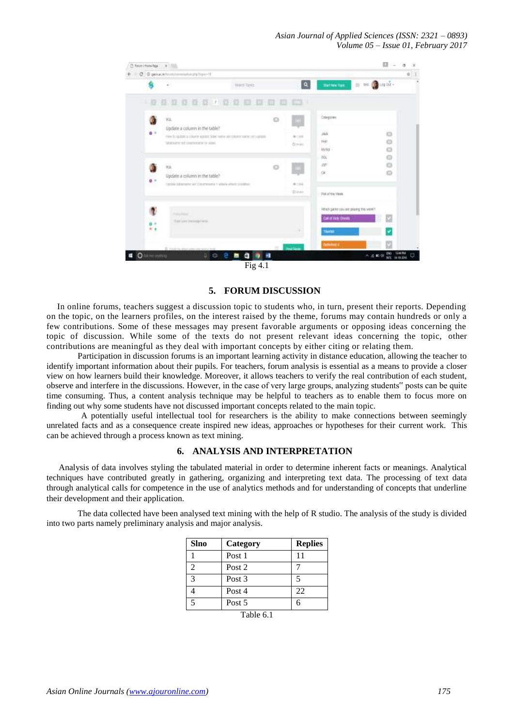

## **5. FORUM DISCUSSION**

In online forums, teachers suggest a discussion topic to students who, in turn, present their reports. Depending on the topic, on the learners profiles, on the interest raised by the theme, forums may contain hundreds or only a few contributions. Some of these messages may present favorable arguments or opposing ideas concerning the topic of discussion. While some of the texts do not present relevant ideas concerning the topic, other contributions are meaningful as they deal with important concepts by either citing or relating them.

Participation in discussion forums is an important learning activity in distance education, allowing the teacher to identify important information about their pupils. For teachers, forum analysis is essential as a means to provide a closer view on how learners build their knowledge. Moreover, it allows teachers to verify the real contribution of each student, observe and interfere in the discussions. However, in the case of very large groups, analyzing students" posts can be quite time consuming. Thus, a content analysis technique may be helpful to teachers as to enable them to focus more on finding out why some students have not discussed important concepts related to the main topic.

 A potentially useful intellectual tool for researchers is the ability to make connections between seemingly unrelated facts and as a consequence create inspired new ideas, approaches or hypotheses for their current work. This can be achieved through a process known as text mining.

## **6. ANALYSIS AND INTERPRETATION**

Analysis of data involves styling the tabulated material in order to determine inherent facts or meanings. Analytical techniques have contributed greatly in gathering, organizing and interpreting text data. The processing of text data through analytical calls for competence in the use of analytics methods and for understanding of concepts that underline their development and their application.

The data collected have been analysed text mining with the help of R studio. The analysis of the study is divided into two parts namely preliminary analysis and major analysis.

| <b>Slno</b>    | Category          | <b>Replies</b> |
|----------------|-------------------|----------------|
|                | Post 1            | 11             |
| $\mathfrak{D}$ | Post 2            |                |
| 3              | Post <sub>3</sub> |                |
|                | Post 4            | 22             |
| 5              | Post 5            |                |
| .<br>__        |                   |                |

Table 6.1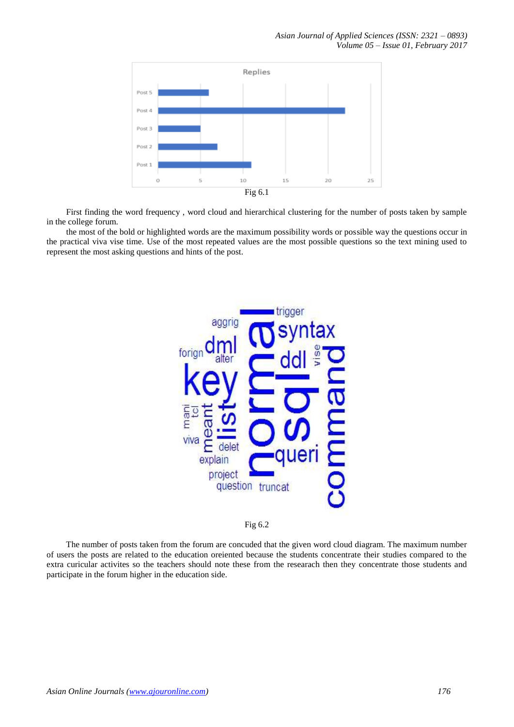

 First finding the word frequency , word cloud and hierarchical clustering for the number of posts taken by sample in the college forum.

 the most of the bold or highlighted words are the maximum possibility words or possible way the questions occur in the practical viva vise time. Use of the most repeated values are the most possible questions so the text mining used to represent the most asking questions and hints of the post.





 The number of posts taken from the forum are concuded that the given word cloud diagram. The maximum number of users the posts are related to the education oreiented because the students concentrate their studies compared to the extra curicular activites so the teachers should note these from the researach then they concentrate those students and participate in the forum higher in the education side.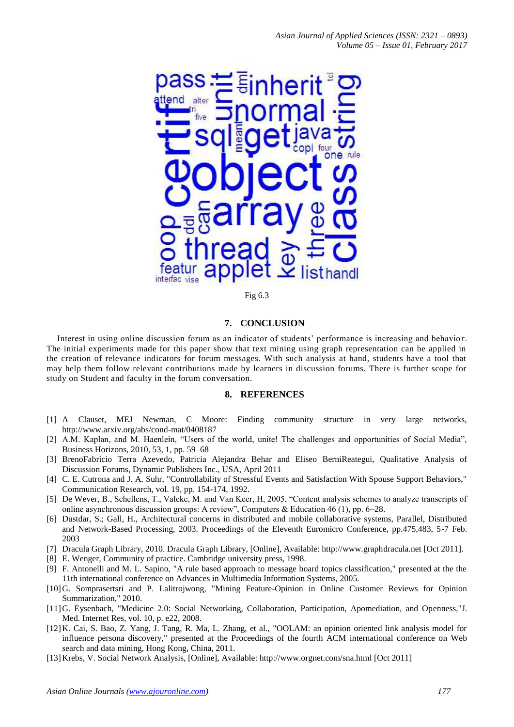

Fig 6.3

## **7. CONCLUSION**

Interest in using online discussion forum as an indicator of students' performance is increasing and behavior. The initial experiments made for this paper show that text mining using graph representation can be applied in the creation of relevance indicators for forum messages. With such analysis at hand, students have a tool that may help them follow relevant contributions made by learners in discussion forums. There is further scope for study on Student and faculty in the forum conversation.

#### **8. REFERENCES**

- [1] A Clauset, MEJ Newman, C Moore: Finding community structure in very large networks, http://www.arxiv.org/abs/cond-mat/0408187
- [2] A.M. Kaplan, and M. Haenlein, "Users of the world, unite! The challenges and opportunities of Social Media", Business Horizons, 2010, 53, 1, pp. 59–68
- [3] BrenoFabrício Terra Azevedo, Patricia Alejandra Behar and Eliseo BerniReategui, Qualitative Analysis of Discussion Forums, Dynamic Publishers Inc., USA, April 2011
- [4] C. E. Cutrona and J. A. Suhr, "Controllability of Stressful Events and Satisfaction With Spouse Support Behaviors," Communication Research, vol. 19, pp. 154-174, 1992.
- [5] De Wever, B., Schellens, T., Valcke, M. and Van Keer, H, 2005, "Content analysis schemes to analyze transcripts of online asynchronous discussion groups: A review", Computers & Education 46 (1), pp. 6–28.
- [6] Dustdar, S.; Gall, H., Architectural concerns in distributed and mobile collaborative systems, Parallel, Distributed and Network-Based Processing, 2003. Proceedings of the Eleventh Euromicro Conference, pp.475,483, 5-7 Feb. 2003
- [7] Dracula Graph Library, 2010. Dracula Graph Library, [Online], Available: http://www.graphdracula.net [Oct 2011].
- [8] E. Wenger, Community of practice. Cambridge university press, 1998.
- [9] F. Antonelli and M. L. Sapino, "A rule based approach to message board topics classification," presented at the the 11th international conference on Advances in Multimedia Information Systems, 2005.
- [10]G. Somprasertsri and P. Lalitrojwong, "Mining Feature-Opinion in Online Customer Reviews for Opinion Summarization," 2010.
- [11]G. Eysenbach, "Medicine 2.0: Social Networking, Collaboration, Participation, Apomediation, and Openness,"J. Med. Internet Res, vol. 10, p. e22, 2008.
- [12]K. Cai, S. Bao, Z. Yang, J. Tang, R. Ma, L. Zhang, et al., "OOLAM: an opinion oriented link analysis model for influence persona discovery," presented at the Proceedings of the fourth ACM international conference on Web search and data mining, Hong Kong, China, 2011.
- [13]Krebs, V. Social Network Analysis, [Online], Available: http://www.orgnet.com/sna.html [Oct 2011]